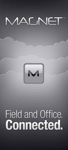



# Field and Office.<br>**Connected.**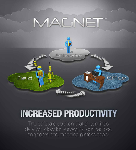

## **INCREASED PRODUCTIVITY**

The software solution that streamlines data workflow for surveyors, contractors, engineers and mapping professionals.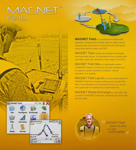# MACNET<sup>®</sup><br>Field





**MAGNET Field** is a powerful and intuitive field application software that enables users to collect survey mapping data and perform construction and road layout using total stations, levels, and GPS.

MAGNET Field contains all available functionality and instrument drivers. It is intended for the surveying and geomatics users who demand a wide range of functions.

MAGNET Field Site is a customized version of MAGNET Field for construction job site activities such as stakeout, grade checking to surfaces, volume estimates, and roading.

MAGNET Field Layout is a customized version of MAGNET Field that increases building layout productivity. With in-the-field plans and dimensional entry, you can go from paper plan to building layout faster than ever.

MAGNET Mobile Exchange is a free utility that connects to MAGNET Enterprise. Exchange any kind of file with the office.



**ET MAGNET Field**<br>
saves me tim<br>
and I get and *l* get<br> **home earlier!**  *saves me time, and I get*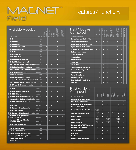## MACNET" Field

## Features / Functions

## Available Modules Field Modules

|             | <b>Available Modules</b>                                           |              |                |           | <b>GPS</b><br>(INCLUDES mmGl |           |              |           |           |
|-------------|--------------------------------------------------------------------|--------------|----------------|-----------|------------------------------|-----------|--------------|-----------|-----------|
|             |                                                                    |              |                | ROBOTICS  |                              |           |              |           |           |
|             | <b>DESCRIPTION</b>                                                 | <b>PART#</b> | <b>OPTICAL</b> |           |                              | HYBRID    | <b>ROADS</b> |           |           |
|             | <b>Field</b>                                                       | 61056        | ٥              |           |                              |           |              | ٥         |           |
|             | <b>Field + Roads</b>                                               | 61057        | ٥              |           |                              |           | ٥            | п         |           |
|             | <b>Field + Robotics</b>                                            | 61058        | ٥              | ٥         |                              |           |              |           |           |
|             | <b>Field + Robotics + Roads</b>                                    | 61059        | ٥              | ٥         |                              |           | ٥            | п         |           |
|             | <b>Field + Robotics + GPS</b>                                      | 61164        | ۰              | ٥         | o                            |           |              | п         |           |
|             | <b>Field GPS</b>                                                   | 61060        |                |           | o                            |           |              | п         |           |
|             | <b>Field GPS + Roads</b>                                           | 61061        |                |           | o                            |           | ö            | п         |           |
|             | Field + GPS + Optical                                              | 61062        | ٥              |           | O                            |           |              | о         |           |
|             | Field + GPS + Optical + Roads                                      | 61063        | ٥              |           | n                            |           | ö            | п         |           |
| FIELD       | Field + GPS + Robotics + Roads                                     | 61064        | ٥              | o         | ö                            |           | o            | o         |           |
|             | Field + Robotics + Roads + Hybrid Positioning 1002833-01           |              | ٥              | o         |                              | o         | ö            | ٥         |           |
|             | Field + Robotics + Hybrid Positioning                              | 1002834-01   | ٥              | C         |                              | o         |              | C         |           |
|             | Field + Robotics + GPS + Hybrid Positioning 1002835-01             |              | ۰              | ٥         | ö                            | ö         |              | o         |           |
|             | <b>Field Complete (All Modules)</b>                                | 1002832-01   | ۰              | ۰         | O                            | ٥         | ٥            | C         |           |
|             | <b>Field Solution 12 months</b>                                    | 61065        | ٥              | o         | ö                            | ō         | ö            | ٥         | o         |
|             | <b>Field Solution Renewal 12 months</b>                            | 1002771-01   | ٥              | o         | O                            | ٥         | o            | C         | o         |
|             | <b>Trade Up to Field Solution</b> 12 months (from TopSURV) 61066   |              | $\bullet$      | ٥         | ö                            | o         | ö            | o         | C         |
|             | <b>Upgrade to Field Solution 12 months (from Field)</b>            | 61158        | o              | C         | ö                            | o         | o            | о         | o         |
|             | <b>Field Product Maintenance 12 months</b>                         | 61155        |                |           |                              |           |              | п         |           |
|             | <b>Field Site</b>                                                  | 1001628-01   | O              | $\bullet$ | ö                            |           | ۰            | п         |           |
|             | <b>Field Site + Hybrid Positioning</b>                             | 1002837-01   | $\bullet$      | o         | ö                            | $\bullet$ | ö            | n         |           |
|             | <b>Field Site Solution</b>                                         | 1001629-01   | $\bullet$      | ö         | ō                            | $\bullet$ | $\bullet$    | n         | o         |
| FIELD SIT   | <b>Field Site Solution Renewal 12 months</b>                       | 1002772-01   | $\bullet$      | n         | n                            | $\bullet$ | ö            | п         | n         |
|             | <b>Upgrade to Field Site Solution (from Field Site) 1003009-01</b> |              | $\bullet$      | n         | n                            | $\bullet$ | ö            | n         | o         |
|             | Field Site Maintenance 12 months                                   | 1001626-01   |                |           |                              |           |              | n         |           |
|             |                                                                    |              |                |           |                              |           |              |           |           |
|             | <b>Field Layout</b>                                                | 1002701-01   | $\bullet$      | $\bullet$ | $\bullet^{\star}$            | $\bullet$ |              |           |           |
|             | Field Layout + Hybrid Positioning                                  | 1002836-01   | $\bullet$      |           | $\bullet^*$                  | $\bullet$ |              |           |           |
| <b>TIÓN</b> | <b>Field Layout Solution</b>                                       | 1002702-01   | $\bullet$      | $\bullet$ | $\bullet^{\star}$            | o         |              | o         | $\bullet$ |
|             | Field Layout Solution Renewal 12 months 1002773-01                 |              | $\bullet$      | $\bullet$ | $\bullet^\star$              |           |              |           |           |
| FIELD       | <b>Trade Up to Field Layout Solution</b><br>(from Topcon Layout)   | 1002703-01   | C              | C         | $\bullet^*$                  | o         |              | ۰         | $\bullet$ |
|             | <b>Upgrade to Field Layout Solution</b><br>(from Field Layout)     | 1003010-01   | ۰              | ۰         | o*                           | o         |              | ۰         | о         |
|             | <b>Field Layout Maintenance</b>                                    | 1002700-01   |                |           |                              |           |              | $\bullet$ |           |
|             | <b>Add-on Optical Module</b>                                       | 61083        | $\bullet$      |           |                              |           |              |           |           |
|             | <b>Add-on Robotics Module</b>                                      | 61085        |                | $\bullet$ |                              |           |              |           |           |
| SNO-dat     | Add-on GPS Module (Includes mmGPS)                                 | 61086        |                |           | ۰                            |           |              |           |           |
|             | <b>Add-on Hybrid Positioning Module</b>                            | 1002831-01   |                |           |                              | $\bullet$ |              |           |           |
|             | <b>Add-on Roads Module</b>                                         | 61087        |                |           |                              |           | $\bullet$    |           |           |
|             | * HiPer SR RTK Only                                                |              |                |           |                              |           |              |           |           |

| <b>Field Modules</b><br>Compared            |     | FIELD + ROADS | FIELD + ROADS<br>ROBOTICS | <b>ROADS</b><br><b>FIELD + I</b><br>+ GPS | <b>ROADS</b><br>ROBOT<br>GPS | <b>OADS</b> | ELD COMPLET | <b>SOLUTIO</b>     |
|---------------------------------------------|-----|---------------|---------------------------|-------------------------------------------|------------------------------|-------------|-------------|--------------------|
| <b>FEATURE / FUNCTION</b>                   | ELD |               |                           |                                           |                              | E           | π           | FIELD <sub>.</sub> |
| <b>Conventional Total Station Drivers</b>   | o   | n             | o                         | o                                         | n                            | n           | o           | o                  |
| <b>Internal NMEA GPS Drivers</b>            | n   | n             | o                         | o                                         | n                            | O           | n           | n                  |
| <b>Topcon &amp; Sokkia Robotics Drivers</b> |     |               | n                         |                                           | n                            | n           | n           | O                  |
| <b>Topcon &amp; Sokkia GNSS Drivers</b>     |     |               |                           | n                                         | n                            | n           | n           | O                  |
| <b>Exchange with MAGNET Enterprise</b>      | o   | n             | o                         | n                                         | n                            | n           | n           | n                  |
| <b>Exchange with SiteLink3D</b>             | n   | n             | n                         | o                                         | n                            | n           | n           | n                  |
| <b>IS Live Video Driver</b>                 |     |               | n                         |                                           | o                            | o           | n           | o                  |
| <b>Hybrid Switch</b>                        |     |               |                           |                                           |                              | n           | n           | n                  |
| <b>Hybrid Resection</b>                     |     |               |                           |                                           |                              | n           | n           | n                  |
| <b>Hybrid Lock</b>                          |     |               |                           |                                           |                              | n           | п           | n                  |
| <b>Roads - Roads</b>                        |     | n             | ō                         | n                                         | n                            | n           | n           | n                  |
| <b>Roads - Horizontal Alignments</b>        |     | n             | o                         | n                                         | n                            | n           | n           | n                  |
| <b>Roads - Vertical Alignments</b>          |     | o             | o                         | n                                         | n                            | n           | n           | o                  |
| <b>Roads - Templates</b>                    |     | n             | n                         | n                                         | n                            | n           | n           | n                  |
| <b>Roads - Cross Sections</b>               |     | n             | o                         | n                                         | n                            | n           | n           | n                  |
| <b>Roads - String Sets</b>                  |     | o             | o                         | n                                         | n                            | o           | n           | n                  |
| <b>Topo - Collect GPS Static Data</b>       | n   | n             | o                         | n                                         | n                            | n           | n           | n                  |
| <b>Auto-Topo</b>                            |     |               | n                         | n                                         | n                            | n           | n           | o                  |

### Field Versions Compared

| <b>JULINAI CU</b>                           |                        | FIELD<br>Solution | <b>TELD</b><br>AYOUT    |                         |                       |   |
|---------------------------------------------|------------------------|-------------------|-------------------------|-------------------------|-----------------------|---|
| <b>FEATURE / FUNCTION</b>                   | FIELD                  |                   |                         |                         | 쁥                     |   |
| <b>Maintenance (first 12 months)</b>        | n                      | n                 | п                       | n                       | n                     | n |
| <b>Data storage in Enterprise</b>           |                        | о                 |                         | о                       |                       | о |
| <b>Conventional Total Station Drivers</b>   | $\bullet$              | о                 | o                       | $\bullet$               | n                     | n |
| <b>Internal NMEA GPS Drivers</b>            | ۰                      | o                 | o                       | $\bullet$               | o                     | о |
| <b>Topcon &amp; Sokkia Robotics Drivers</b> | with robotic<br>module | о                 | n                       | о                       | n                     | о |
| <b>Topcon &amp; Sokkia GNSS Drivers</b>     | with GPS<br>module     | o                 | <b>HiPer SR</b><br>only | <b>HiPer SR</b><br>only | $\bullet$             | о |
| mmGPS Drivers                               | ۰                      | о                 | о                       | о                       | о                     | о |
| <b>Hybrid Switch</b>                        | with Hybrid<br>module  | o                 | with Hybrid<br>module   | $\bullet$               | with Hybrid<br>module | о |
| <b>Hybrid Resection</b>                     | with Hybrid<br>module  | о                 | with Hybrid<br>module   | о                       | with Hybrid<br>module | о |
| <b>Exchange with MAGNET Enterprise</b>      | n                      | о                 | о                       | о                       | о                     | о |
| <b>Exchange with Sitelink3D</b>             | o                      | о                 |                         |                         | n                     | n |
| <b>IS Live Video Driver</b>                 | with robotic<br>module | о                 | о                       | о                       |                       |   |
| <b>Cut/Fill Bar</b>                         | о                      | о                 | о                       | о                       | о                     | о |
| <b>Plan Entry</b>                           | о                      | о                 | о                       | $\bullet$               |                       |   |
| <b>Geodetic Coordinates Ability</b>         | $\bullet$              | о                 |                         |                         | $\bullet$             | о |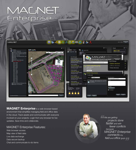# MACNET



**MAGNET Enterprise** is a web browser-based environment that simplifies managing field and office data in the cloud. Track assets and communicate with everyone involved on your projects. Login from any browser for live updates. Save time and collaborate.

## MAGNET Enterprise Features:

Web browser access Map view of field data Live data exchange Data secure backup Chat and communicate to-do items



*We are getting***<br>
projects<br>
faster and**  *projects done faster and with fewer conflicts because MAGNET Enterprise connects my field and office guys.* **''**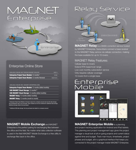## MACNET<br>Enterprise



## Enterprise Online Store

| AVAILABLE ONLINE AND THROUGH MAGNET DEALERS             | <b>PART#</b> |
|---------------------------------------------------------|--------------|
| <b>Enterprise Project Team Module 12 months*</b>        | 61082        |
| <b>Enterprise Project Team Module 12 months Renewal</b> | 1002778-01   |

#### AVAILABLE ONLINE ONLY (MAGNET-ENTERPRISE.COM)

|  | <b>Enterprise Project Team Module 12 months (billed monthly)</b> |
|--|------------------------------------------------------------------|
|  |                                                                  |

**5GB MAGNET Cloud Storage 12 months\*\*** 

**5GB MAGNET Cloud Storage** 12 months (billed monthly)

MAGNET Relay 12 months (billed monthly)

**MAGNET Relay** 12 months (month to month)

\* Enterprise Project Team Module: A license to sign into a company account and use the data storage. One simultaneous sign in per purchase. Team modules can not be combined for additional data storage. Additional storage needs to be purchased.

\*\* Additional 5GB data storage: Can be purchased and added to a company account.

## **MAGNET Mobile Exchange and MAGNET**

Enterprise is the perfect pairing for exchanging files between the office and the field. No matter what data collection software is used in the field MAGNET Mobile Exchange is a free utility to exchange files back to the office.

## Relau Service



MAGNET Relay is a GNSS correction service hosted by MAGNET Enterprise. Subscribers connect a base receiver to the MAGNET Relay service via cellular connection, making the base available for up to 10 rovers.

## MAGNET Relay Features:

Cellular base to rovers Extend RTK base/rover range Low cost monthly subscription service Only requires cellular coverage 10 rovers from a single base

## Enterprise<br>Mobile



### **MAGNET Enterprise Mobile** is a planning

and project tracking application for Android and iPad tablets. This planning and project management app gives the project manager a visual look at all on-going projects and current status against time and budget. Track man-hours, timesheets, project phases and budget, all in a graphical interface that keeps you connected to the project manager inside MAGNET Enterprise.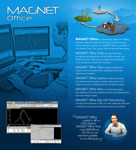# MACNET<sup>®</sup><br>Office



**MAGNET Office** is a processing, design and drafting software suite that meets the demands of land surveyors and construction contractors. MAGNET Office is available in five versions: Tools, Topo, Layout, Site, and Site with Resurfacing.

Office

Field

**SANS AND ALL AND A** 

MAGNET Office Tools has advanced data processing and adjustment of total stations, levels, and GNSS raw data. Tools can be installed as a standalone or as an add-on to AutoCAD® products.

MAGNET Office Topo includes drafting and design tools for property plots, subdivisions and land development projects.

MAGNET Office Layout includes the editing and drawing tools required to easily make points from objects and take a building plan into the field for layout.

MAGNET Office Site is a full featured design and drafting tool for any machine control, land development, and road design project.

## MAGNET Office Site with Resurfacing

includes all the features of Site, but with additional advanced modules for paving and resurfacing analysis and design.

MAGNET Office<br>
<sup>is great for all<br>
CAD stations.</sup>  *is great for all our CAD stations. MAGNET Office Tools installs directly into Civil 3D and I get real-time updates* real-time updates<br> *from the field guys.* 

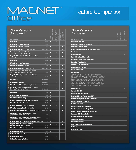## MACNET" **Office**

**SSING** 

## Feature Comparison

### Office Versions **Compared**

| Office Versions<br>Compared                                                                         |                       |              |               |                                        |                                                 |
|-----------------------------------------------------------------------------------------------------|-----------------------|--------------|---------------|----------------------------------------|-------------------------------------------------|
|                                                                                                     |                       | <b>T00LS</b> | POST-PROCESSI | MAINTENAN<br>(12 Month)<br>ᅂ<br>드<br>Ē | <b>ENTERPRIS</b><br>EAM I<br>12 Noi<br>$\simeq$ |
| <b>DESCRIPTION</b><br><b>Office Tools</b>                                                           | <b>PART#</b><br>61067 | ٥            |               | O                                      |                                                 |
| Office Tools + Post Processing                                                                      | 61068                 | ٥            | ٥             |                                        |                                                 |
| <b>Office Tools Solution 12 months</b>                                                              |                       | ٥            | ō             | n                                      | o                                               |
| <b>Office Tools Solution</b> 12 months, Renewal                                                     | 61069<br>1002774-01   | o            | O             | O                                      | n                                               |
| <b>DEFECT</b><br><b>Trade Up to Office Tools Solution</b>                                           |                       |              |               |                                        |                                                 |
| 12 months (Only from Topcon Tools)                                                                  | 61070                 | n            | o             | o                                      | n                                               |
| <b>Upgrade Office Tools to Office Tools Solution</b><br>12 months                                   | 61159                 | O            | о             | ۰                                      | O                                               |
| <b>Office Topo</b>                                                                                  | 61071                 | O            |               | n                                      |                                                 |
| Office Topo + Post Processing                                                                       | 61072                 | ٥            | ö             | n                                      |                                                 |
| <b>Office Topo Solution 12 months</b>                                                               | 61073                 | o            | o             | n                                      | n                                               |
| <b>Office Topo Solution</b> 12 months, Renewal                                                      | 1002775-01            | ٥            | ō             | n                                      | n                                               |
| Trade Up to Office Topo Solution 12 months<br>(Only from SurveyMaster and CivilCAD)                 | 61074                 | ٥            | O             | O                                      | O                                               |
| <b>Upgrade Office Topo to Office Topo Solution</b><br>$12$ months                                   | 61160                 | $\bullet$    | ö             | o                                      | o                                               |
| <b>Office Layout</b>                                                                                | 1003003-01            |              |               | $\bullet$                              |                                                 |
| <b>Office Layout Solution</b>                                                                       | 1003004-01            |              |               | $\bullet$                              | $\bullet$                                       |
| <b>DFFICE L</b><br><b>Office Layout Solution</b> 12 months, Renewal                                 | 1003005-01            |              |               | n                                      | n                                               |
| <b>Trade Up to Office Layout Solution 12 months</b><br>(Only from Topcon Layout Master)             | 1003006-01            |              | $\bullet$     | о                                      | о                                               |
| <b>Office Site</b>                                                                                  | 61075                 | $\bullet$    |               | $\bullet$                              |                                                 |
| Office Site + Post Processing                                                                       | 61076                 | $\bullet$    | $\bullet$     | n                                      |                                                 |
| <b>Office Site + Resurfacing</b>                                                                    | 61077                 | $\bullet$    |               | n                                      |                                                 |
| Office Site + Resurfacing + Post Processing                                                         | 61078                 | $\bullet$    | $\bullet$     | n                                      |                                                 |
| <b>Office Site Solution 12 months</b>                                                               | 61079                 | $\bullet$    | $\bullet$     | n                                      | $\bullet$                                       |
| <b>Office Site Solution 12 months, Renewal</b>                                                      | 1002776-01            | $\bullet$    | ō             | n                                      | n                                               |
| <b>Office Resurfacing Solution 12 months</b>                                                        | 61080                 | $\bullet$    | ō             | n                                      | n                                               |
| <b>Office Resurfacing Solution 12 months, Renewal</b>                                               | 1002777-01            | $\bullet$    | ۰             | n                                      | n                                               |
| Trade Up to Office Site Solution 12 months<br>(Only from SiteMaster and CivilCAD)                   | 61081                 |              |               |                                        | г                                               |
| Trade Up to Office Resurfacing Solution 12 months<br>(Only from SiteMaster with Resurfacing Module) | 61161                 | $\bullet$    | $\bullet$     | $\bullet$                              | $\bullet$                                       |
| <b>Upgrade Office Site to Office Site Solution 12 months</b>                                        | 61162                 | $\bullet$    | ۰             | $\bullet$                              | $\bullet$                                       |
| <b>Upgrade Office Resurfacing to Office</b><br><b>Resurfacing Solution 12 months</b>                | 61163                 | $\bullet$    | $\bullet$     | $\bullet$                              | $\bullet$                                       |
| <b>Office Product Maintenance 12 months</b>                                                         | 61156                 |              |               | $\bullet$                              |                                                 |
| <b>Add-on Topo Module</b>                                                                           | 61088                 | $\bullet$    |               | $\bullet$                              |                                                 |
| <b>ADD-ONS</b><br><b>Add-on Post Process Module</b>                                                 | 61089                 |              | $\bullet$     | $\bullet$                              |                                                 |
| <b>Add-on Site Module</b>                                                                           | 61091                 |              | $\bullet$     | $\bullet$                              |                                                 |
| <b>Add-on Resurfacing Module</b>                                                                    | 61092                 |              | $\bullet$     | $\bullet$                              |                                                 |
|                                                                                                     |                       |              |               |                                        |                                                 |

## Office Versions **Compared**

| Compared                                                                                                                                                                                                                                                                                                                                                                                                                                                                                                                                                                          |                    |                    |                      |
|-----------------------------------------------------------------------------------------------------------------------------------------------------------------------------------------------------------------------------------------------------------------------------------------------------------------------------------------------------------------------------------------------------------------------------------------------------------------------------------------------------------------------------------------------------------------------------------|--------------------|--------------------|----------------------|
|                                                                                                                                                                                                                                                                                                                                                                                                                                                                                                                                                                                   |                    |                    | <b>DEFICE LAYOUT</b> |
| <b>SOFTWARE FEATURE</b>                                                                                                                                                                                                                                                                                                                                                                                                                                                                                                                                                           | <b>OFFICE SITE</b> | <b>DEFICE TOPO</b> |                      |
| <b>Office Tools Included</b>                                                                                                                                                                                                                                                                                                                                                                                                                                                                                                                                                      |                    |                    |                      |
| <b>Connection to MAGNET Enterprise</b>                                                                                                                                                                                                                                                                                                                                                                                                                                                                                                                                            | n                  | n                  | o                    |
| <b>Connection to Sitelink3D</b>                                                                                                                                                                                                                                                                                                                                                                                                                                                                                                                                                   | O                  |                    |                      |
| <b>Create and Display Digital Terrain Model (DTM)</b>                                                                                                                                                                                                                                                                                                                                                                                                                                                                                                                             | n                  | o                  |                      |
| <b>Create Structure</b>                                                                                                                                                                                                                                                                                                                                                                                                                                                                                                                                                           | o                  | O                  | O                    |
| <b>Place Structure</b>                                                                                                                                                                                                                                                                                                                                                                                                                                                                                                                                                            | n                  | г                  | n                    |
| <b>Deed Entry / Legal Description</b>                                                                                                                                                                                                                                                                                                                                                                                                                                                                                                                                             | O                  | O                  |                      |
| <b>Description Code Library Mangement</b>                                                                                                                                                                                                                                                                                                                                                                                                                                                                                                                                         | n                  | O                  |                      |
| <b>Basic CAD Functionality</b>                                                                                                                                                                                                                                                                                                                                                                                                                                                                                                                                                    |                    |                    | O                    |
| <b>Advanced CAD Functionality</b>                                                                                                                                                                                                                                                                                                                                                                                                                                                                                                                                                 | n                  | n                  |                      |
| <b>Elevate Points from Text</b>                                                                                                                                                                                                                                                                                                                                                                                                                                                                                                                                                   | o                  |                    |                      |
| <b>Export to Pocket3D</b>                                                                                                                                                                                                                                                                                                                                                                                                                                                                                                                                                         | n                  | ö                  | ö                    |
| <b>File Support</b>                                                                                                                                                                                                                                                                                                                                                                                                                                                                                                                                                               |                    |                    |                      |
| "MAGNET Field Job (*.mjf,*.tsj,*.tslv),3DMC Project File (*.tp3),<br>3DMC (*.rd3, *.tn3, *.pt3, *.ln3), AutoCAD (dwg, dxf), MicroStation<br>(*.dgn), LandXML (*.xml), GENIO (*.gen, *.crd), Civilcad 5 (*.as5),<br>Civilcad 4 (* laz, * asc) Standard Road (* ali, * ras, * sc1), Carlson<br>(*.rd5), Geocomp (*.str), Hayes Data (*.dat), Text Files, (*.pts, *.asc,<br>*.xyz, *.csv, *.txt, *.ctf, Topcon (*.gt7, *.gts7, Leica (*.GSI), Nikon<br>(*.ap8, *.raw), Sokkia SDR33 (*.sdr), Trimble/Geodat 5600 (*.job,<br>are), Trimble DC10 (*.dc), Wild GRE4 (*.GRE), MX (*.inp) |                    |                    |                      |
| <b>Extend and Trim</b>                                                                                                                                                                                                                                                                                                                                                                                                                                                                                                                                                            | o                  | ö                  | n                    |
| <b>Geodetic Calculator</b>                                                                                                                                                                                                                                                                                                                                                                                                                                                                                                                                                        | n                  | о                  |                      |
| <b>Insert - Tables, PDF, Image</b>                                                                                                                                                                                                                                                                                                                                                                                                                                                                                                                                                | n                  | n                  |                      |
| <b>Insert and Extract Vectors from PDF</b>                                                                                                                                                                                                                                                                                                                                                                                                                                                                                                                                        |                    |                    |                      |
| <b>Interoparability with MAGNET Office Tools</b>                                                                                                                                                                                                                                                                                                                                                                                                                                                                                                                                  | n                  | ö                  |                      |
| <b>Modify - Convert to Polyline</b>                                                                                                                                                                                                                                                                                                                                                                                                                                                                                                                                               | n                  | о                  |                      |
| <b>Modify - Edit Strings</b>                                                                                                                                                                                                                                                                                                                                                                                                                                                                                                                                                      | n                  | n                  |                      |
| <b>Modify - Extend/Trim to Boundary</b>                                                                                                                                                                                                                                                                                                                                                                                                                                                                                                                                           | о                  | о                  |                      |
| <b>Real Time Session from Project Site</b>                                                                                                                                                                                                                                                                                                                                                                                                                                                                                                                                        | n                  | ٥                  |                      |
| <b>Report - Duplicate Points / Compare Jobs</b>                                                                                                                                                                                                                                                                                                                                                                                                                                                                                                                                   | o                  | o                  |                      |
| <b>Seware and Drainage Design</b>                                                                                                                                                                                                                                                                                                                                                                                                                                                                                                                                                 | o                  |                    |                      |
| <b>Surface Creation and Management</b>                                                                                                                                                                                                                                                                                                                                                                                                                                                                                                                                            | $\bullet$          | $\bullet$          |                      |
| <b>Traverse Adjustment</b>                                                                                                                                                                                                                                                                                                                                                                                                                                                                                                                                                        | ō                  | $\bullet$          | o                    |
| <b>Volume Computation</b>                                                                                                                                                                                                                                                                                                                                                                                                                                                                                                                                                         | $\bullet$          | ٠                  |                      |
| <b>View Surfaces, Contours &amp; Mesh</b>                                                                                                                                                                                                                                                                                                                                                                                                                                                                                                                                         | $\bullet$          | ٠                  | $\bullet$            |
| <b>Plot to Scale</b>                                                                                                                                                                                                                                                                                                                                                                                                                                                                                                                                                              | $\bullet$          | $\bullet$          | $\bullet$            |
| <b>Cut/Fill Color Map</b>                                                                                                                                                                                                                                                                                                                                                                                                                                                                                                                                                         | $\bullet$          | $\bullet$          |                      |